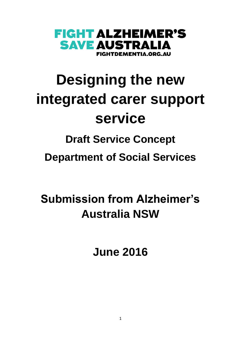

# **Designing the new integrated carer support service**

# **Draft Service Concept Department of Social Services**

# **Submission from Alzheimer's Australia NSW**

**June 2016**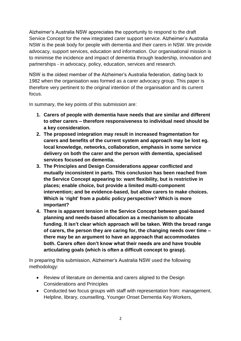Alzheimer's Australia NSW appreciates the opportunity to respond to the draft Service Concept for the new integrated carer support service. Alzheimer's Australia NSW is the peak body for people with dementia and their carers in NSW. We provide advocacy, support services, education and information. Our organisational mission is to minimise the incidence and impact of dementia through leadership, innovation and partnerships - in advocacy, policy, education, services and research.

NSW is the oldest member of the Alzheimer's Australia federation, dating back to 1982 when the organisation was formed as a carer advocacy group. This paper is therefore very pertinent to the original intention of the organisation and its current focus.

In summary, the key points of this submission are:

- **1. Carers of people with dementia have needs that are similar and different to other carers – therefore responsiveness to individual need should be a key consideration.**
- **2. The proposed integration may result in increased fragmentation for carers and benefits of the current system and approach may be lost eg. local knowledge, networks, collaboration, emphasis in some service delivery on both the carer and the person with dementia, specialised services focused on dementia.**
- **3. The Principles and Design Considerations appear conflicted and mutually inconsistent in parts. This conclusion has been reached from the Service Concept appearing to: want flexibility, but is restrictive in places; enable choice, but provide a limited multi-component intervention; and be evidence-based, but allow carers to make choices. Which is 'right' from a public policy perspective? Which is more important?**
- **4. There is apparent tension in the Service Concept between goal-based planning and needs-based allocation as a mechanism to allocate funding. It isn't clear which approach will be taken. With the broad range of carers, the person they are caring for, the changing needs over time – there may be an argument to have an approach that accommodates both. Carers often don't know what their needs are and have trouble articulating goals (which is often a difficult concept to grasp).**

In preparing this submission, Alzheimer's Australia NSW used the following methodology:

- Review of literature on dementia and carers aligned to the Design Considerations and Principles
- Conducted two focus groups with staff with representation from: management, Helpline, library, counselling, Younger Onset Dementia Key Workers,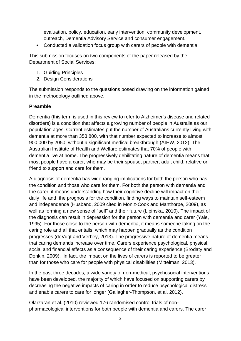evaluation, policy, education, early intervention, community development, outreach, Dementia Advisory Service and consumer engagement.

Conducted a validation focus group with carers of people with dementia.

This submission focuses on two components of the paper released by the Department of Social Services:

- 1. Guiding Principles
- 2. Design Considerations

The submission responds to the questions posed drawing on the information gained in the methodology outlined above.

#### **Preamble**

Dementia (this term is used in this review to refer to Alzheimer's disease and related disorders) is a condition that affects a growing number of people in Australia as our population ages. Current estimates put the number of Australians currently living with dementia at more than 353,800, with that number expected to increase to almost 900,000 by 2050, without a significant medical breakthrough (AIHW, 2012). The Australian Institute of Health and Welfare estimates that 70% of people with dementia live at home. The progressively debilitating nature of dementia means that most people have a carer, who may be their spouse, partner, adult child, relative or friend to support and care for them.

A diagnosis of dementia has wide ranging implications for both the person who has the condition and those who care for them. For both the person with dementia and the carer, it means understanding how their cognitive decline will impact on their daily life and the prognosis for the condition, finding ways to maintain self-esteem and independence (Husband, 2009 cited in Moniz-Cook and Manthorpe, 2009), as well as forming a new sense of "self" and their future (Lipinska, 2010). The impact of the diagnosis can result in depression for the person with dementia and carer (Yale, 1995). For those close to the person with dementia, it means someone taking on the caring role and all that entails, which may happen gradually as the condition progresses (deVugt and Verhey, 2013). The progressive nature of dementia means that caring demands increase over time. Carers experience psychological, physical, social and financial effects as a consequence of their caring experience (Brodaty and Donkin, 2009). In fact, the impact on the lives of carers is reported to be greater than for those who care for people with physical disabilities (Mittelman, 2013).

In the past three decades, a wide variety of non-medical, psychosocial interventions have been developed, the majority of which have focused on supporting carers by decreasing the negative impacts of caring in order to reduce psychological distress and enable carers to care for longer (Gallagher-Thompson, et al. 2012).

Olarzaran et al. (2010) reviewed 176 randomised control trials of nonpharmacological interventions for both people with dementia and carers. The carer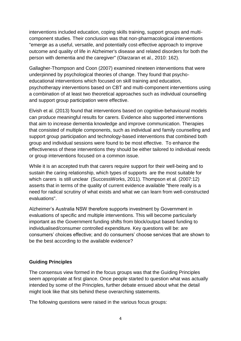interventions included education, coping skills training, support groups and multicomponent studies. Their conclusion was that non-pharmacological interventions "emerge as a useful, versatile, and potentially cost-effective approach to improve outcome and quality of life in Alzheimer's disease and related disorders for both the person with dementia and the caregiver" (Olarzaran et al., 2010: 162).

Gallagher-Thompson and Coon (2007) examined nineteen interventions that were underpinned by psychological theories of change. They found that psychoeducational interventions which focused on skill training and education, psychotherapy interventions based on CBT and multi-component interventions using a combination of at least two theoretical approaches such as individual counselling and support group participation were effective.

Elvish et al. (2013) found that interventions based on cognitive-behavioural models can produce meaningful results for carers. Evidence also supported interventions that aim to increase dementia knowledge and improve communication. Therapies that consisted of multiple components, such as individual and family counselling and support group participation and technology-based interventions that combined both group and individual sessions were found to be most effective. To enhance the effectiveness of these interventions they should be either tailored to individual needs or group interventions focused on a common issue.

While it is an accepted truth that carers require support for their well-being and to sustain the caring relationship, which types of supports are the most suitable for which carers is still unclear (SuccessWorks, 2011). Thompson et al. (2007:12) asserts that in terms of the quality of current evidence available "there really is a need for radical scrutiny of what exists and what we can learn from well-constructed evaluations".

Alzheimer's Australia NSW therefore supports investment by Government in evaluations of specific and multiple interventions. This will become particularly important as the Government funding shifts from block/output based funding to individualised/consumer controlled expenditure. Key questions will be: are consumers' choices effective; and do consumers' choose services that are shown to be the best according to the available evidence?

#### **Guiding Principles**

The consensus view formed in the focus groups was that the Guiding Principles seem appropriate at first glance. Once people started to question what was actually intended by some of the Principles, further debate ensued about what the detail might look like that sits behind these overarching statements.

The following questions were raised in the various focus groups: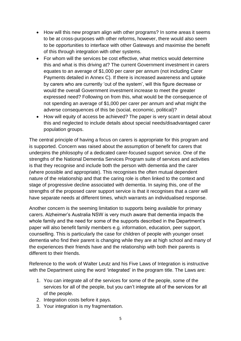- How will this new program align with other programs? In some areas it seems to be at cross-purposes with other reforms, however, there would also seem to be opportunities to interface with other Gateways and maximise the benefit of this through integration with other systems.
- For whom will the services be cost effective, what metrics would determine this and what is this driving at? The current Government investment in carers equates to an average of \$1,000 per carer per annum (not including Carer Payments detailed in Annex C). If there is increased awareness and uptake by carers who are currently 'out of the system', will this figure decrease or would the overall Government investment increase to meet the greater expressed need? Following on from this, what would be the consequence of not spending an average of \$1,000 per carer per annum and what might the adverse consequences of this be (social, economic, political)?
- How will equity of access be achieved? The paper is very scant in detail about this and neglected to include details about special needs/disadvantaged carer population groups.

The central principle of having a focus on carers is appropriate for this program and is supported. Concern was raised about the assumption of benefit for carers that underpins the philosophy of a dedicated carer-focused support service. One of the strengths of the National Dementia Services Program suite of services and activities is that they recognise and include both the person with dementia and the carer (where possible and appropriate). This recognises the often mutual dependent nature of the relationship and that the caring role is often linked to the context and stage of progressive decline associated with dementia. In saying this, one of the strengths of the proposed carer support service is that it recognises that a carer will have separate needs at different times, which warrants an individualised response.

Another concern is the seeming limitation to supports being available for primary carers. Alzheimer's Australia NSW is very much aware that dementia impacts the whole family and the need for some of the supports described in the Department's paper will also benefit family members e.g. information, education, peer support, counselling. This is particularly the case for children of people with younger onset dementia who find their parent is changing while they are at high school and many of the experiences their friends have and the relationship with both their parents is different to their friends.

Reference to the work of Walter Leutz and his Five Laws of Integration is instructive with the Department using the word 'integrated' in the program title. The Laws are:

- 1. You can integrate all of the services for some of the people, some of the services for all of the people, but you can't integrate all of the services for all of the people.
- 2. Integration costs before it pays.
- 3. Your integration is my fragmentation.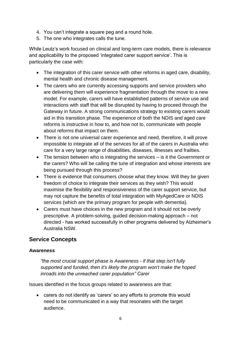- 4. You can't integrate a square peg and a round hole.
- 5. The one who integrates calls the tune.

While Leutz's work focused on clinical and long-term care models, there is relevance and applicability to the proposed 'integrated carer support service'. This is particularly the case with:

- The integration of this carer service with other reforms in aged care, disability, mental health and chronic disease management.
- The carers who are currently accessing supports and service providers who are delivering them will experience fragmentation through the move to a new model. For example, carers will have established patterns of service use and interactions with staff that will be disrupted by having to proceed through the Gateway in future. A strong communications strategy to existing carers would aid in this transition phase. The experience of both the NDIS and aged care reforms is instructive in how to, and how not to, communicate with people about reforms that impact on them.
- There is not one universal carer experience and need, therefore, it will prove impossible to integrate all of the services for all of the carers in Australia who care for a very large range of disabilities, diseases, illnesses and frailties.
- The tension between who is integrating the services is it the Government or the carers? Who will be calling the tune of integration and whose interests are being pursued through this process?
- There is evidence that consumers choose what they know. Will they be given freedom of choice to integrate their services as they wish? This would maximise the flexibility and responsiveness of the carer support service, but may not capture the benefits of total integration with MyAgedCare or NDIS services (which are the primary program for people with dementia).
- Carers must have choices in the new program and it should not be overly prescriptive. A problem-solving, guided decision-making approach – not directed - has worked successfully in other programs delivered by Alzheimer's Australia NSW.

## **Service Concepts**

#### **Awareness**

*"the most crucial support phase is Awareness - if that step isn't fully supported and funded, then it's likely the program won't make the hoped inroads into the unreached carer population" Carer*

Issues identified in the focus groups related to awareness are that:

 carers do not identify as 'carers' so any efforts to promote this would need to be communicated in a way that resonates with the target audience.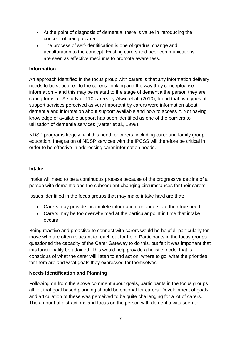- At the point of diagnosis of dementia, there is value in introducing the concept of being a carer.
- The process of self-identification is one of gradual change and acculturation to the concept. Existing carers and peer communications are seen as effective mediums to promote awareness.

#### **Information**

An approach identified in the focus group with carers is that any information delivery needs to be structured to the carer's thinking and the way they conceptualise information – and this may be related to the stage of dementia the person they are caring for is at. A study of 110 carers by Alwin et al. (2010), found that two types of support services perceived as very important by carers were information about dementia and information about support available and how to access it. Not having knowledge of available support has been identified as one of the barriers to utilisation of dementia services (Vetter et al., 1998).

NDSP programs largely fulfil this need for carers, including carer and family group education. Integration of NDSP services with the IPCSS will therefore be critical in order to be effective in addressing carer information needs.

#### **Intake**

Intake will need to be a continuous process because of the progressive decline of a person with dementia and the subsequent changing circumstances for their carers.

Issues identified in the focus groups that may make intake hard are that:

- Carers may provide incomplete information, or understate their true need.
- Carers may be too overwhelmed at the particular point in time that intake occurs

Being reactive and proactive to connect with carers would be helpful, particularly for those who are often reluctant to reach out for help. Participants in the focus groups questioned the capacity of the Carer Gateway to do this, but felt it was important that this functionality be attained. This would help provide a holistic model that is conscious of what the carer will listen to and act on, where to go, what the priorities for them are and what goals they expressed for themselves.

#### **Needs Identification and Planning**

Following on from the above comment about goals, participants in the focus groups all felt that goal based planning should be optional for carers. Development of goals and articulation of these was perceived to be quite challenging for a lot of carers. The amount of distractions and focus on the person with dementia was seen to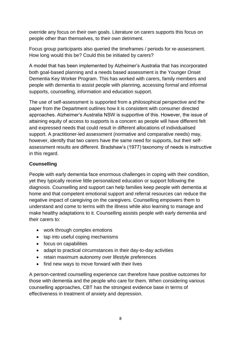override any focus on their own goals. Literature on carers supports this focus on people other than themselves, to their own detriment.

Focus group participants also queried the timeframes / periods for re-assessment. How long would this be? Could this be initiated by carers?

A model that has been implemented by Alzheimer's Australia that has incorporated both goal-based planning and a needs based assessment is the Younger Onset Dementia Key Worker Program. This has worked with carers, family members and people with dementia to assist people with planning, accessing formal and informal supports, counselling, information and education support.

The use of self-assessment is supported from a philosophical perspective and the paper from the Department outlines how it is consistent with consumer directed approaches. Alzheimer's Australia NSW is supportive of this. However, the issue of attaining equity of access to supports is a concern as people will have different felt and expressed needs that could result in different allocations of individualised support. A practitioner-led assessment (normative and comparative needs) may, however, identify that two carers have the same need for supports, but their selfassessment results are different. Bradshaw's (1977) taxonomy of needs is instructive in this regard.

#### **Counselling**

People with early dementia face enormous challenges in coping with their condition, yet they typically receive little personalized education or support following the diagnosis. Counselling and support can help families keep people with dementia at home and that competent emotional support and referral resources can reduce the negative impact of caregiving on the caregivers. Counselling empowers them to understand and come to terms with the illness while also learning to manage and make healthy adaptations to it. Counselling assists people with early dementia and their carers to:

- work through complex emotions
- tap into useful coping mechanisms
- focus on capabilities
- adapt to practical circumstances in their day-to-day activities
- retain maximum autonomy over lifestyle preferences
- find new ways to move forward with their lives

A person-centred counselling experience can therefore have positive outcomes for those with dementia and the people who care for them. When considering various counselling approaches, CBT has the strongest evidence base in terms of effectiveness in treatment of anxiety and depression.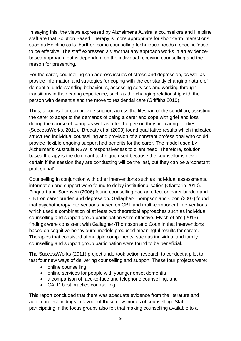In saying this, the views expressed by Alzheimer's Australia counsellors and Helpline staff are that Solution Based Therapy is more appropriate for short-term interactions, such as Helpline calls. Further, some counselling techniques needs a specific 'dose' to be effective. The staff expressed a view that any approach works in an evidencebased approach, but is dependent on the individual receiving counselling and the reason for presenting.

For the carer, counselling can address issues of stress and depression, as well as provide information and strategies for coping with the constantly changing nature of dementia, understanding behaviours, accessing services and working through transitions in their caring experience, such as the changing relationship with the person with dementia and the move to residential care (Griffiths 2010).

Thus, a counsellor can provide support across the lifespan of the condition, assisting the carer to adapt to the demands of being a carer and cope with grief and loss during the course of caring as well as after the person they are caring for dies (SuccessWorks, 2011). Brodaty et al (2003) found qualitative results which indicated structured individual counselling and provision of a constant professional who could provide flexible ongoing support had benefits for the carer. The model used by Alzheimer's Australia NSW is responsiveness to client need. Therefore, solution based therapy is the dominant technique used because the counsellor is never certain if the session they are conducting will be the last, but they can be a 'constant profesional'.

Counselling in conjunction with other interventions such as individual assessments, information and support were found to delay institutionalisation (Olarzarin 2010). Pinquart and Sörensen (2006) found counselling had an effect on carer burden and CBT on carer burden and depression. Gallagher-Thompson and Coon (2007) found that psychotherapy interventions based on CBT and multi-component interventions which used a combination of at least two theoretical approaches such as individual counselling and support group participation were effective. Elvish et al's (2013) findings were consistent with Gallagher-Thompson and Coon in that interventions based on cognitive-behavioural models produced meaningful results for carers. Therapies that consisted of multiple components, such as individual and family counselling and support group participation were found to be beneficial.

The SuccessWorks (2011) project undertook action research to conduct a pilot to test four new ways of delivering counselling and support. These four projects were:

- online counselling
- online services for people with younger onset dementia
- a comparison of face-to-face and telephone counselling, and
- CALD best practice counselling

This report concluded that there was adequate evidence from the literature and action project findings in favour of these new modes of counselling. Staff participating in the focus groups also felt that making counselling available to a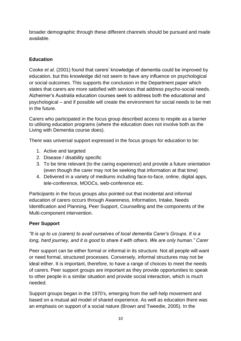broader demographic through these different channels should be pursued and made available.

### **Education**

Cooke *et al.* (2001) found that carers' knowledge of dementia could be improved by education, but this knowledge did not seem to have any influence on psychological or social outcomes. This supports the conclusion in the Department paper which states that carers are more satisfied with services that address psycho-social needs. Alzheimer's Australia education courses seek to address both the educational and psychological – and if possible will create the environment for social needs to be met in the future.

Carers who participated in the focus group described access to respite as a barrier to utilising education programs (where the education does not involve both as the Living with Dementia course does).

There was universal support expressed in the focus groups for education to be:

- 1. Active and targeted
- 2. Disease / disability specific
- 3. To be time relevant (to the caring experience) and provide a future orientation (even though the carer may not be seeking that information at that time)
- 4. Delivered in a variety of mediums including face-to-face, online, digital apps, tele-conference, MOOCs, web-conference etc.

Participants in the focus groups also pointed out that incidental and informal education of carers occurs through Awareness, Information, Intake, Needs Identification and Planning, Peer Support, Counselling and the components of the Multi-component intervention.

### **Peer Support**

#### *"It is up to us (carers) to avail ourselves of local dementia Carer's Groups. It is a long, hard journey, and it is good to share it with others. We are only human." Carer*

Peer support can be either formal or informal in its structure. Not all people will want or need formal, structured processes. Conversely, informal structures may not be ideal either. It is important, therefore, to have a range of choices to meet the needs of carers. Peer support groups are important as they provide opportunities to speak to other people in a similar situation and provide social interaction, which is much needed.

Support groups began in the 1970's, emerging from the self-help movement and based on a mutual aid model of shared experience. As well as education there was an emphasis on support of a social nature (Brown and Tweedie, 2005). In the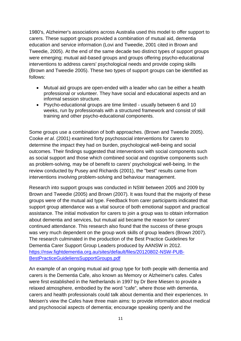1980's, Alzheimer's associations across Australia used this model to offer support to carers. These support groups provided a combination of mutual aid, dementia education and service information (Lovi and Tweedie, 2001 cited in Brown and Tweedie, 2005). At the end of the same decade two distinct types of support groups were emerging; mutual aid-based groups and groups offering psycho-educational interventions to address carers' psychological needs and provide coping skills (Brown and Tweedie 2005). These two types of support groups can be identified as follows:

- Mutual aid groups are open-ended with a leader who can be either a health professional or volunteer. They have social and educational aspects and an informal session structure.
- Psycho-educational groups are time limited usually between 6 and 10 weeks, run by professionals with a structured framework and consist of skill training and other psycho-educational components.

Some groups use a combination of both approaches. (Brown and Tweedie 2005). Cooke *et al.* (2001) examined forty psychosocial interventions for carers to determine the impact they had on burden, psychological well-being and social outcomes. Their findings suggested that interventions with social components such as social support and those which combined social and cognitive components such as problem-solving, may be of benefit to carers' psychological well-being. In the review conducted by Pusey and Richards (2001), the "best" results came from interventions involving problem-solving and behaviour management.

Research into support groups was conducted in NSW between 2005 and 2009 by Brown and Tweedie (2005) and Brown (2007). It was found that the majority of these groups were of the mutual aid type. Feedback from carer participants indicated that support group attendance was a vital source of both emotional support and practical assistance. The initial motivation for carers to join a group was to obtain information about dementia and services, but mutual aid became the reason for carers' continued attendance. This research also found that the success of these groups was very much dependent on the group work skills of group leaders (Brown 2007). The research culminated in the production of the Best Practice Guidelines for Dementia Carer Support Group Leaders produced by AANSW in 2012. [https://nsw.fightdementia.org.au/sites/default/files/20120802-NSW-PUB-](https://nsw.fightdementia.org.au/sites/default/files/20120802-NSW-PUB-BestPracticeGuideliensSupportGroups.pdf)[BestPracticeGuideliensSupportGroups.pdf](https://nsw.fightdementia.org.au/sites/default/files/20120802-NSW-PUB-BestPracticeGuideliensSupportGroups.pdf)

An example of an ongoing mutual aid group type for both people with dementia and carers is the Dementia Cafe, also known as Memory or Alzheimer's cafes. Cafes were first established in the Netherlands in 1997 by Dr Bere Miesen to provide a relaxed atmosphere, embodied by the word "cafe", where those with dementia, carers and health professionals could talk about dementia and their experiences. In Meisen's view the Cafes have three main aims: to provide information about medical and psychosocial aspects of dementia; encourage speaking openly and the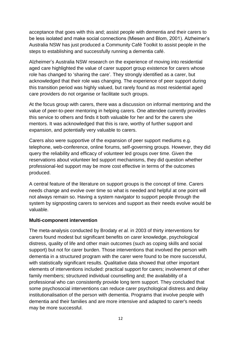acceptance that goes with this and; assist people with dementia and their carers to be less isolated and make social connections (Miesen and Blom, 2001). Alzheimer's Australia NSW has just produced a Community Café Toolkit to assist people in the steps to establishing and successfully running a dementia café.

Alzheimer's Australia NSW research on the experience of moving into residential aged care highlighted the value of carer support group existence for carers whose role has changed to 'sharing the care'. They strongly identified as a carer, but acknowledged that their role was changing. The experience of peer support during this transition period was highly valued, but rarely found as most residential aged care providers do not organise or facilitate such groups.

At the focus group with carers, there was a discussion on informal mentoring and the value of peer-to-peer mentoring in helping carers. One attendee currently provides this service to others and finds it both valuable for her and for the carers she mentors. It was acknowledged that this is rare, worthy of further support and expansion, and potentially very valuable to carers.

Carers also were supportive of the expansion of peer support mediums e.g. telephone, web-conference, online forums, self-governing groups. However, they did query the reliability and efficacy of volunteer led groups over time. Given the reservations about volunteer led support mechanisms, they did question whether professional-led support may be more cost effective in terms of the outcomes produced.

A central feature of the literature on support groups is the concept of time. Carers needs change and evolve over time so what is needed and helpful at one point will not always remain so. Having a system navigator to support people through the system by signposting carers to services and support as their needs evolve would be valuable.

#### **Multi-component intervention**

The meta-analysis conducted by Brodaty *et al.* in 2003 of thirty interventions for carers found modest but significant benefits on carer knowledge, psychological distress, quality of life and other main outcomes (such as coping skills and social support) but not for carer burden. Those interventions that involved the person with dementia in a structured program with the carer were found to be more successful, with statistically significant results. Qualitative data showed that other important elements of interventions included: practical support for carers; involvement of other family members; structured individual counselling and; the availability of a professional who can consistently provide long term support. They concluded that some psychosocial interventions can reduce carer psychological distress and delay institutionalisation of the person with dementia. Programs that involve people with dementia and their families and are more intensive and adapted to carer's needs may be more successful.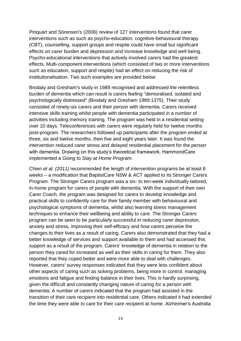Pinquart and Sörensen's (2006) review of 127 interventions found that carer interventions such as such as psycho-education, cognitive-behavioural therapy (CBT), counselling, support groups and respite could have small but significant effects on carer burden and depression and increase knowledge and well-being. Psycho-educational interventions that actively involved carers had the greatest effects. Multi-component interventions (which consisted of two or more interventions such as education, support and respite) had an effect on reducing the risk of institutionalisation. Two such examples are provided below

Brodaty and Gresham's study in 1989 recognised and addressed the relentless burden of dementia which can result is carers feeling "demoralised, isolated and psychologically distressed" (Brodaty and Gresham 1989:1375). Their study consisted of ninety-six carers and their person with dementia. Carers received intensive skills training whilst people with dementia participated in a number of activities including memory training. The program was held in a residential setting over 10 days. Teleconferences with carers were regularly held for twelve months post-program. The researchers followed up participants after the program ended at three, six and twelve months, then five and eight years later. It was found the intervention reduced carer stress and delayed residential placement for the person with dementia. Drawing on this study's theoretical framework, HammondCare implemented a *Going to Stay at Home Program*.

Chien *et al. (2011)* recommended the length of intervention programs be at least 8 weeks – a modification that BaptistCare NSW & ACT applied to its Stronger Carers Program. The Stronger Carers program was a six- to ten-week individually tailored, in-home program for carers of people with dementia. With the support of their own Carer Coach, the program was designed for carers to develop knowledge and practical skills to confidently care for their family member with behavioural and psychological symptoms of dementia, whilst also learning stress management techniques to enhance their wellbeing and ability to care. The Stronger Carers program can be seen to be particularly successful in reducing carer depression, anxiety and stress, improving their self-efficacy and how carers perceive the changes to their lives as a result of caring. Carers also demonstrated that they had a better knowledge of services and support available to them and had accessed this support as a result of the program. Carers' knowledge of dementia in relation to the person they cared for increased as well as their skills in caring for them. They also reported that they coped better and were more able to deal with challenges. However, carers' survey responses indicated that they were less confident about other aspects of caring such as solving problems, being more in control, managing emotions and fatigue and finding balance in their lives. This is hardly surprising, given the difficult and constantly changing nature of caring for a person with dementia. A number of carers indicated that the program had assisted in the transition of their care recipient into residential care. Others indicated it had extended the time they were able to care for their care recipient at home. Alzheimer's Australia